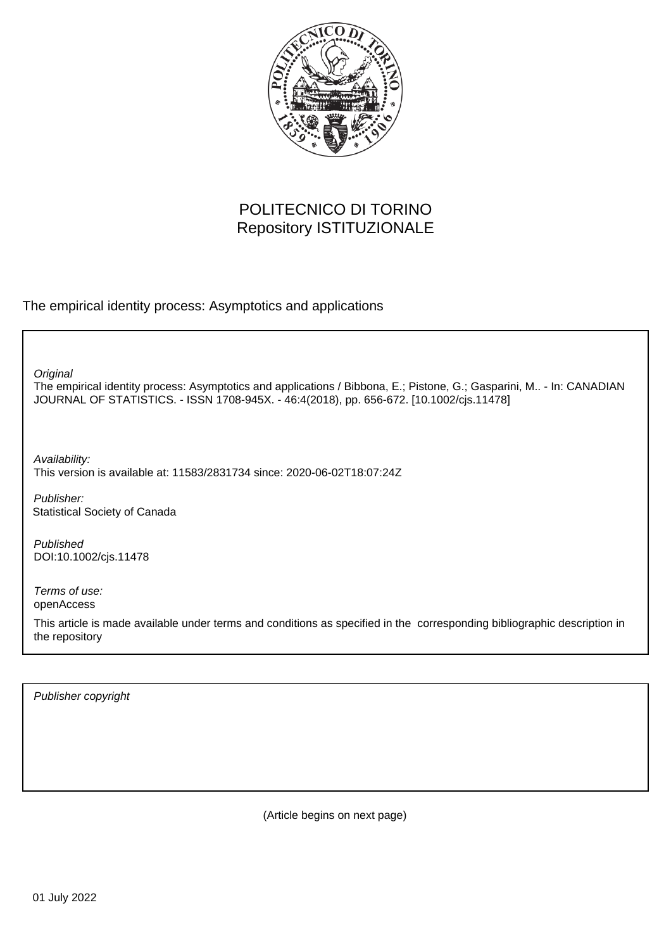

# POLITECNICO DI TORINO Repository ISTITUZIONALE

The empirical identity process: Asymptotics and applications

**Original** 

The empirical identity process: Asymptotics and applications / Bibbona, E.; Pistone, G.; Gasparini, M.. - In: CANADIAN JOURNAL OF STATISTICS. - ISSN 1708-945X. - 46:4(2018), pp. 656-672. [10.1002/cjs.11478]

Availability: This version is available at: 11583/2831734 since: 2020-06-02T18:07:24Z

Publisher: Statistical Society of Canada

Published DOI:10.1002/cjs.11478

Terms of use: openAccess

This article is made available under terms and conditions as specified in the corresponding bibliographic description in the repository

Publisher copyright

(Article begins on next page)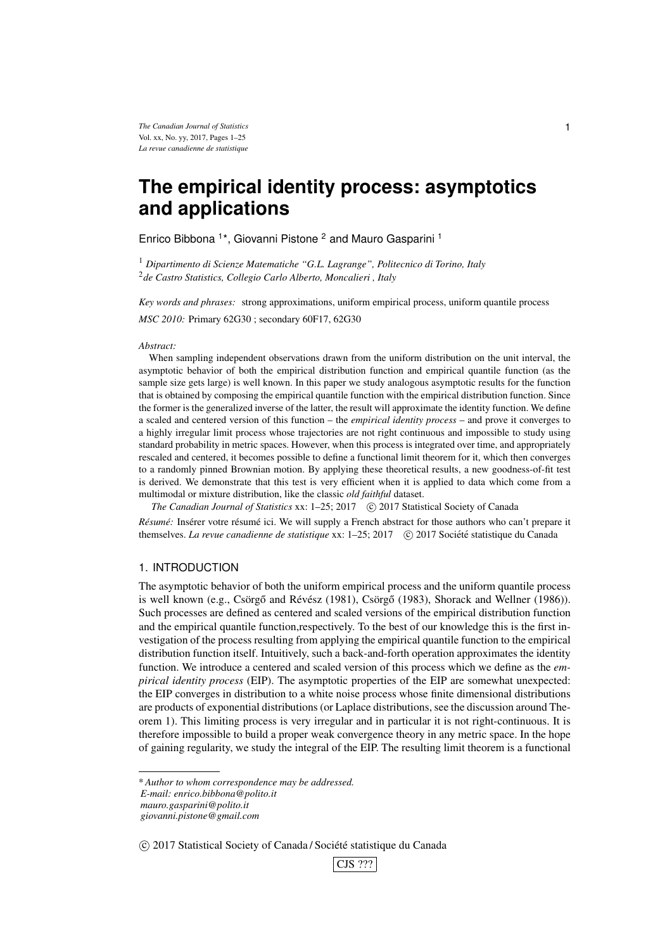# **The empirical identity process: asymptotics and applications**

Enrico Bibbona<sup>1\*</sup>, Giovanni Pistone<sup>2</sup> and Mauro Gasparini<sup>1</sup>

<sup>1</sup> *Dipartimento di Scienze Matematiche "G.L. Lagrange", Politecnico di Torino, Italy* 2 *de Castro Statistics, Collegio Carlo Alberto, Moncalieri , Italy*

*Key words and phrases:* strong approximations, uniform empirical process, uniform quantile process *MSC 2010:* Primary 62G30 ; secondary 60F17, 62G30

#### *Abstract:*

When sampling independent observations drawn from the uniform distribution on the unit interval, the asymptotic behavior of both the empirical distribution function and empirical quantile function (as the sample size gets large) is well known. In this paper we study analogous asymptotic results for the function that is obtained by composing the empirical quantile function with the empirical distribution function. Since the former is the generalized inverse of the latter, the result will approximate the identity function. We define a scaled and centered version of this function – the *empirical identity process* – and prove it converges to a highly irregular limit process whose trajectories are not right continuous and impossible to study using standard probability in metric spaces. However, when this process is integrated over time, and appropriately rescaled and centered, it becomes possible to define a functional limit theorem for it, which then converges to a randomly pinned Brownian motion. By applying these theoretical results, a new goodness-of-fit test is derived. We demonstrate that this test is very efficient when it is applied to data which come from a multimodal or mixture distribution, like the classic *old faithful* dataset.

The Canadian Journal of Statistics xx: 1-25; 2017 (C) 2017 Statistical Society of Canada *Résumé:* Insérer votre résumé ici. We will supply a French abstract for those authors who can't prepare it themselves. *La revue canadienne de statistique* xx: 1-25; 2017 (c) 2017 Société statistique du Canada

# 1. INTRODUCTION

The asymptotic behavior of both the uniform empirical process and the uniform quantile process is well known (e.g., Csörgő and Révész (1981), Csörgő (1983), Shorack and Wellner (1986)). Such processes are defined as centered and scaled versions of the empirical distribution function and the empirical quantile function,respectively. To the best of our knowledge this is the first investigation of the process resulting from applying the empirical quantile function to the empirical distribution function itself. Intuitively, such a back-and-forth operation approximates the identity function. We introduce a centered and scaled version of this process which we define as the *empirical identity process* (EIP). The asymptotic properties of the EIP are somewhat unexpected: the EIP converges in distribution to a white noise process whose finite dimensional distributions are products of exponential distributions (or Laplace distributions, see the discussion around Theorem 1). This limiting process is very irregular and in particular it is not right-continuous. It is therefore impossible to build a proper weak convergence theory in any metric space. In the hope of gaining regularity, we study the integral of the EIP. The resulting limit theorem is a functional

 $\circ$  2017 Statistical Society of Canada / Société statistique du Canada



<sup>\*</sup> *Author to whom correspondence may be addressed. E-mail: enrico.bibbona@polito.it*

*mauro.gasparini@polito.it*

*giovanni.pistone@gmail.com*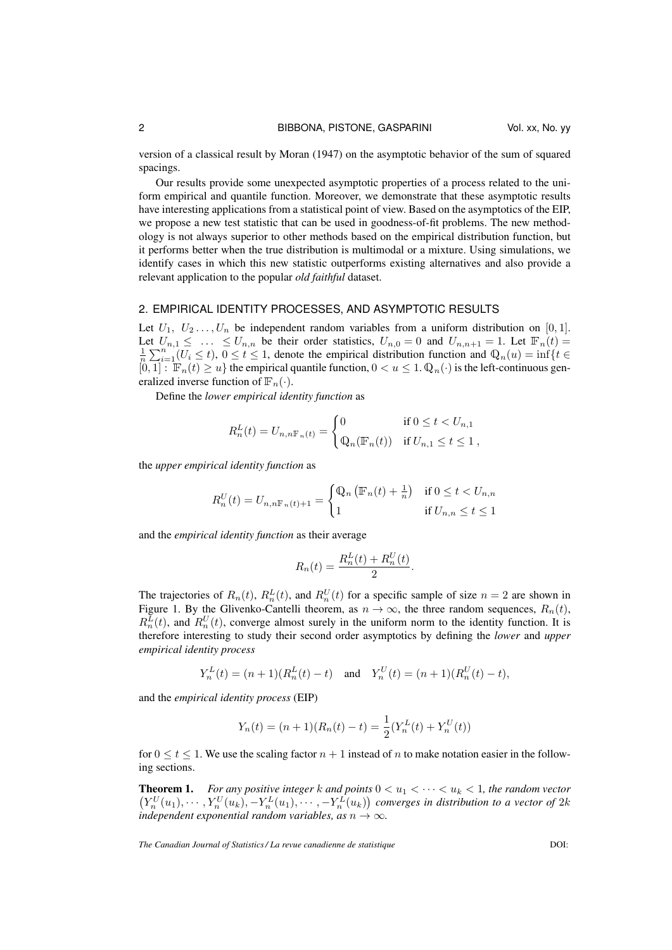version of a classical result by Moran (1947) on the asymptotic behavior of the sum of squared spacings.

Our results provide some unexpected asymptotic properties of a process related to the uniform empirical and quantile function. Moreover, we demonstrate that these asymptotic results have interesting applications from a statistical point of view. Based on the asymptotics of the EIP, we propose a new test statistic that can be used in goodness-of-fit problems. The new methodology is not always superior to other methods based on the empirical distribution function, but it performs better when the true distribution is multimodal or a mixture. Using simulations, we identify cases in which this new statistic outperforms existing alternatives and also provide a relevant application to the popular *old faithful* dataset.

### 2. EMPIRICAL IDENTITY PROCESSES, AND ASYMPTOTIC RESULTS

Let  $U_1, U_2, \ldots, U_n$  be independent random variables from a uniform distribution on [0, 1]. Let  $U_{n,1} \leq \ldots \leq U_{n,n}$  be their order statistics,  $U_{n,0} = 0$  and  $U_{n,n+1} = 1$ . Let  $\mathbb{F}_n(t) =$  $\frac{1}{n}\sum_{i=1}^{n} (U_i \le t)$ ,  $0 \le t \le 1$ , denote the empirical distribution function and  $\mathbb{Q}_n(u) = \inf\{t \in$  $[0,1]: \mathbb{F}_n(t) \geq u$  the empirical quantile function,  $0 < u \leq 1$ .  $\mathbb{Q}_n(\cdot)$  is the left-continuous generalized inverse function of  $\mathbb{F}_n(\cdot)$ .

Define the *lower empirical identity function* as

$$
R_n^L(t) = U_{n,n\mathbb{F}_n(t)} = \begin{cases} 0 & \text{if } 0 \le t < U_{n,1} \\ \mathbb{Q}_n(\mathbb{F}_n(t)) & \text{if } U_{n,1} \le t \le 1 \end{cases}
$$

the *upper empirical identity function* as

$$
R_n^U(t) = U_{n,n\mathbb{F}_n(t)+1} = \begin{cases} \mathbb{Q}_n \left( \mathbb{F}_n(t) + \frac{1}{n} \right) & \text{if } 0 \le t < U_{n,n} \\ 1 & \text{if } U_{n,n} \le t \le 1 \end{cases}
$$

and the *empirical identity function* as their average

$$
R_n(t) = \frac{R_n^L(t) + R_n^U(t)}{2}.
$$

The trajectories of  $R_n(t)$ ,  $R_n^L(t)$ , and  $R_n^U(t)$  for a specific sample of size  $n = 2$  are shown in Figure 1. By the Glivenko-Cantelli theorem, as  $n \to \infty$ , the three random sequences,  $R_n(t)$ ,  $R_n^L(t)$ , and  $R_n^U(t)$ , converge almost surely in the uniform norm to the identity function. It is therefore interesting to study their second order asymptotics by defining the *lower* and *upper empirical identity process*

$$
Y_n^L(t) = (n+1)(R_n^L(t) - t) \text{ and } Y_n^U(t) = (n+1)(R_n^U(t) - t),
$$

and the *empirical identity process* (EIP)

$$
Y_n(t) = (n+1)(R_n(t) - t) = \frac{1}{2}(Y_n^L(t) + Y_n^U(t))
$$

for  $0 \le t \le 1$ . We use the scaling factor  $n + 1$  instead of n to make notation easier in the following sections.

**Theorem 1.** For any positive integer k and points  $0 < u_1 < \cdots < u_k < 1$ , the random vector  $(Y_n^U(u_1), \cdots, Y_n^U(u_k), -Y_n^L(u_1), \cdots, -Y_n^L(u_k))$  converges in distribution to a vector of  $2k$ *independent exponential random variables, as*  $n \rightarrow \infty$ *.*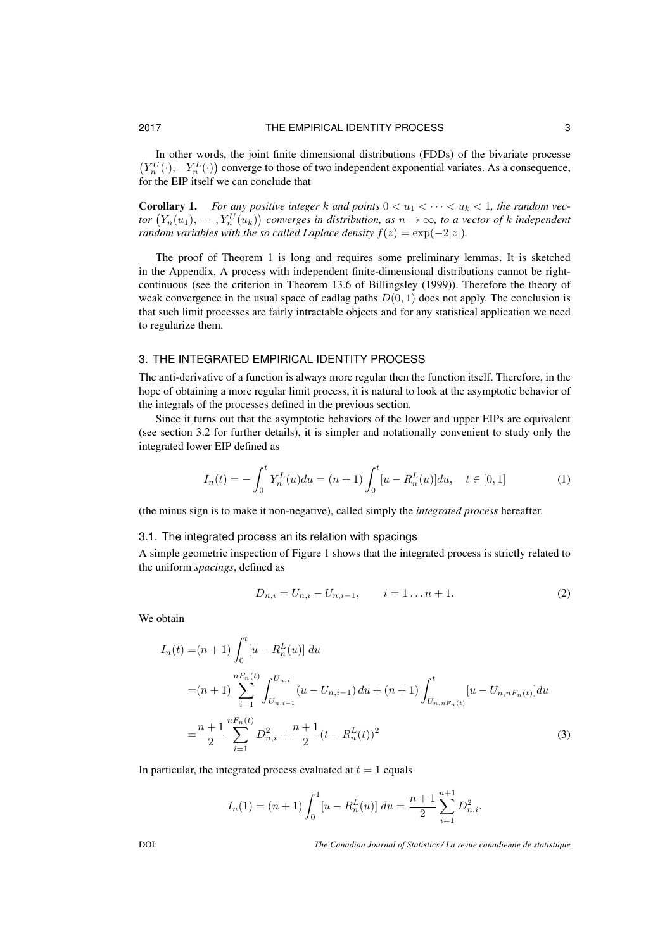In other words, the joint finite dimensional distributions (FDDs) of the bivariate processe  $(Y_n^U(\cdot), -Y_n^L(\cdot))$  converge to those of two independent exponential variates. As a consequence, for the EIP itself we can conclude that

**Corollary 1.** For any positive integer k and points  $0 < u_1 < \cdots < u_k < 1$ , the random vec*tor*  $(Y_n(u_1), \dots, Y_n^U(u_k))$  converges in distribution, as  $n \to \infty$ , to a vector of k independent *random variables with the so called Laplace density*  $f(z) = \exp(-2|z|)$ *.* 

The proof of Theorem 1 is long and requires some preliminary lemmas. It is sketched in the Appendix. A process with independent finite-dimensional distributions cannot be rightcontinuous (see the criterion in Theorem 13.6 of Billingsley (1999)). Therefore the theory of weak convergence in the usual space of cadlag paths  $D(0, 1)$  does not apply. The conclusion is that such limit processes are fairly intractable objects and for any statistical application we need to regularize them.

## 3. THE INTEGRATED EMPIRICAL IDENTITY PROCESS

The anti-derivative of a function is always more regular then the function itself. Therefore, in the hope of obtaining a more regular limit process, it is natural to look at the asymptotic behavior of the integrals of the processes defined in the previous section.

Since it turns out that the asymptotic behaviors of the lower and upper EIPs are equivalent (see section 3.2 for further details), it is simpler and notationally convenient to study only the integrated lower EIP defined as

$$
I_n(t) = -\int_0^t Y_n^L(u) du = (n+1) \int_0^t [u - R_n^L(u)] du, \quad t \in [0,1]
$$
 (1)

(the minus sign is to make it non-negative), called simply the *integrated process* hereafter.

### 3.1. The integrated process an its relation with spacings

A simple geometric inspection of Figure 1 shows that the integrated process is strictly related to the uniform *spacings*, defined as

$$
D_{n,i} = U_{n,i} - U_{n,i-1}, \qquad i = 1...n+1.
$$
 (2)

We obtain

$$
I_n(t) = (n+1) \int_0^t [u - R_n^L(u)] du
$$
  
=  $(n+1) \sum_{i=1}^{nF_n(t)} \int_{U_{n,i-1}}^{U_{n,i}} (u - U_{n,i-1}) du + (n+1) \int_{U_{n,nF_n(t)}}^t [u - U_{n,nF_n(t)}] du$   
=  $\frac{n+1}{2} \sum_{i=1}^{nF_n(t)} D_{n,i}^2 + \frac{n+1}{2} (t - R_n^L(t))^2$  (3)

In particular, the integrated process evaluated at  $t = 1$  equals

$$
I_n(1) = (n+1) \int_0^1 [u - R_n^L(u)] du = \frac{n+1}{2} \sum_{i=1}^{n+1} D_{n,i}^2.
$$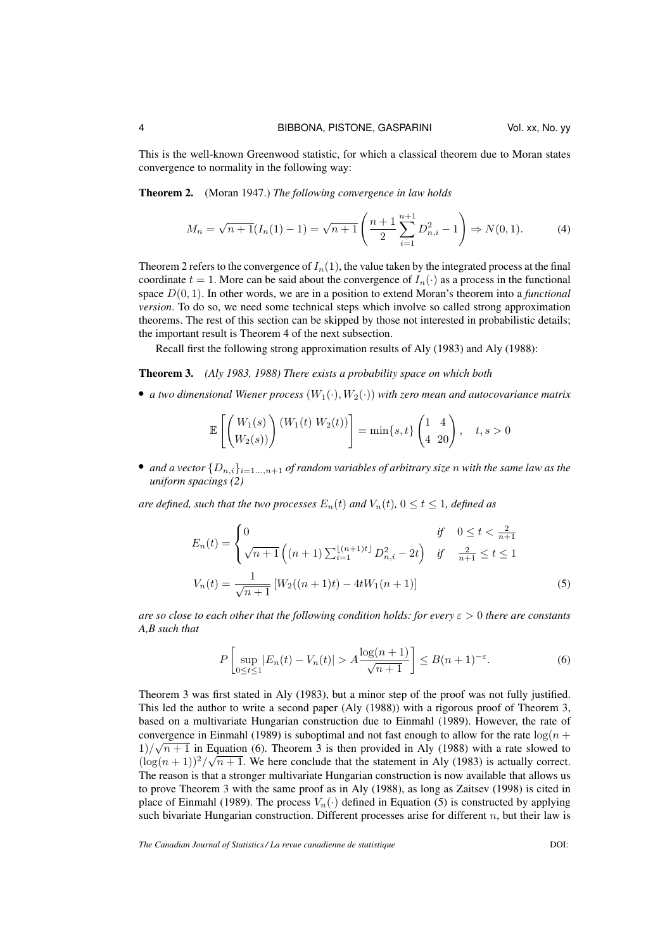This is the well-known Greenwood statistic, for which a classical theorem due to Moran states convergence to normality in the following way:

Theorem 2. (Moran 1947.) *The following convergence in law holds*

$$
M_n = \sqrt{n+1}(I_n(1)-1) = \sqrt{n+1}\left(\frac{n+1}{2}\sum_{i=1}^{n+1} D_{n,i}^2 - 1\right) \Rightarrow N(0,1). \tag{4}
$$

Theorem 2 refers to the convergence of  $I_n(1)$ , the value taken by the integrated process at the final coordinate  $t = 1$ . More can be said about the convergence of  $I_n(\cdot)$  as a process in the functional space D(0, 1). In other words, we are in a position to extend Moran's theorem into a *functional version*. To do so, we need some technical steps which involve so called strong approximation theorems. The rest of this section can be skipped by those not interested in probabilistic details; the important result is Theorem 4 of the next subsection.

Recall first the following strong approximation results of Aly (1983) and Aly (1988):

#### Theorem 3. *(Aly 1983, 1988) There exists a probability space on which both*

• *a two dimensional Wiener process*  $(W_1(\cdot), W_2(\cdot))$  *with zero mean and autocovariance matrix* 

$$
\mathbb{E}\left[\begin{pmatrix}W_1(s)\\W_2(s)\end{pmatrix}\begin{pmatrix}W_1(t) & W_2(t)\end{pmatrix}\right] = \min\{s, t\}\begin{pmatrix}1 & 4\\4 & 20\end{pmatrix}, \quad t, s > 0
$$

• *and a vector*  $\{D_{n,i}\}_{i=1,\ldots,n+1}$  *of random variables of arbitrary size n with the same law as the uniform spacings (2)*

*are defined, such that the two processes*  $E_n(t)$  *and*  $V_n(t)$ *,*  $0 \le t \le 1$ *, defined as* 

$$
E_n(t) = \begin{cases} 0 & \text{if } 0 \le t < \frac{2}{n+1} \\ \sqrt{n+1} \left( (n+1) \sum_{i=1}^{\lfloor (n+1)t \rfloor} D_{n,i}^2 - 2t \right) & \text{if } \frac{2}{n+1} \le t \le 1 \end{cases}
$$
  

$$
V_n(t) = \frac{1}{\sqrt{n+1}} \left[ W_2((n+1)t) - 4tW_1(n+1) \right]
$$
 (5)

*are so close to each other that the following condition holds: for every* ε > 0 *there are constants A,B such that*

$$
P\left[\sup_{0 \le t \le 1} |E_n(t) - V_n(t)| > A \frac{\log(n+1)}{\sqrt{n+1}} \right] \le B(n+1)^{-\varepsilon}.
$$
 (6)

Theorem 3 was first stated in Aly (1983), but a minor step of the proof was not fully justified. This led the author to write a second paper (Aly (1988)) with a rigorous proof of Theorem 3, based on a multivariate Hungarian construction due to Einmahl (1989). However, the rate of convergence in Einmahl (1989) is suboptimal and not fast enough to allow for the rate  $\log(n + \epsilon)$  $\frac{1}{\sqrt{n+1}}$  in Equation (6). Theorem 3 is then provided in Aly (1988) with a rate slowed to  $(\log(n+1))^2/\sqrt{n+1}$ . We here conclude that the statement in Aly (1983) is actually correct. The reason is that a stronger multivariate Hungarian construction is now available that allows us to prove Theorem 3 with the same proof as in Aly (1988), as long as Zaitsev (1998) is cited in place of Einmahl (1989). The process  $V_n(\cdot)$  defined in Equation (5) is constructed by applying such bivariate Hungarian construction. Different processes arise for different  $n$ , but their law is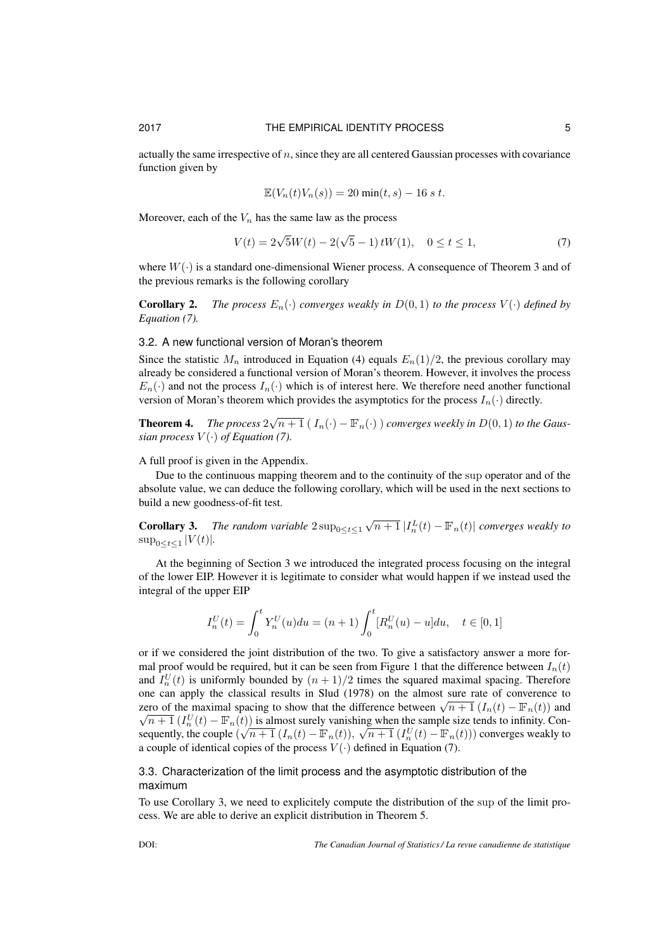actually the same irrespective of  $n$ , since they are all centered Gaussian processes with covariance function given by

$$
\mathbb{E}(V_n(t)V_n(s)) = 20 \min(t, s) - 16 s t.
$$

Moreover, each of the  $V_n$  has the same law as the process

$$
V(t) = 2\sqrt{5}W(t) - 2(\sqrt{5} - 1) tW(1), \quad 0 \le t \le 1,
$$
\n(7)

where  $W(\cdot)$  is a standard one-dimensional Wiener process. A consequence of Theorem 3 and of the previous remarks is the following corollary

**Corollary 2.** *The process*  $E_n(\cdot)$  *converges weakly in*  $D(0,1)$  *to the process*  $V(\cdot)$  *defined by Equation (7).*

## 3.2. A new functional version of Moran's theorem

Since the statistic  $M_n$  introduced in Equation (4) equals  $E_n(1)/2$ , the previous corollary may already be considered a functional version of Moran's theorem. However, it involves the process  $E_n(\cdot)$  and not the process  $I_n(\cdot)$  which is of interest here. We therefore need another functional version of Moran's theorem which provides the asymptotics for the process  $I_n(\cdot)$  directly.

**Theorem 4.** The process  $2\sqrt{n+1} (I_n(\cdot) - \mathbb{F}_n(\cdot))$  converges weekly in  $D(0, 1)$  to the Gaus*sian process*  $V(\cdot)$  *of Equation* (7).

A full proof is given in the Appendix.

Due to the continuous mapping theorem and to the continuity of the sup operator and of the absolute value, we can deduce the following corollary, which will be used in the next sections to build a new goodness-of-fit test.

**Corollary 3.** The random variable  $2 \sup_{0 \le t \le 1} \sqrt{n+1} |I_n^L(t) - \mathbb{F}_n(t)|$  converges weakly to  $\sup_{0 \le t \le 1} |V(t)|$ .

At the beginning of Section 3 we introduced the integrated process focusing on the integral of the lower EIP. However it is legitimate to consider what would happen if we instead used the integral of the upper EIP

$$
I_n^U(t) = \int_0^t Y_n^U(u) du = (n+1) \int_0^t [R_n^U(u) - u] du, \quad t \in [0,1]
$$

or if we considered the joint distribution of the two. To give a satisfactory answer a more formal proof would be required, but it can be seen from Figure 1 that the difference between  $I_n(t)$ and  $I_n^U(t)$  is uniformly bounded by  $(n + 1)/2$  times the squared maximal spacing. Therefore one can apply the classical results in Slud (1978) on the almost sure rate of converence to one can apply the classical results in Stud (1978) on the almost sure rate of converence to<br>zero of the maximal spacing to show that the difference between  $\sqrt{n+1} (I_n(t) - \mathbb{F}_n(t))$  and  $\overline{n+1}(I_n^U(t) - \mathbb{F}_n(t))$  is almost surely vanishing when the sample size tends to infinity. Consequently, the couple  $(\sqrt{n+1} (I_n(t) - \mathbb{F}_n(t)), \sqrt{n+1} (I_n^U(t) - \mathbb{F}_n(t)))$  converges weakly to a couple of identical copies of the process  $V(\cdot)$  defined in Equation (7).

# 3.3. Characterization of the limit process and the asymptotic distribution of the maximum

To use Corollary 3, we need to explicitely compute the distribution of the sup of the limit process. We are able to derive an explicit distribution in Theorem 5.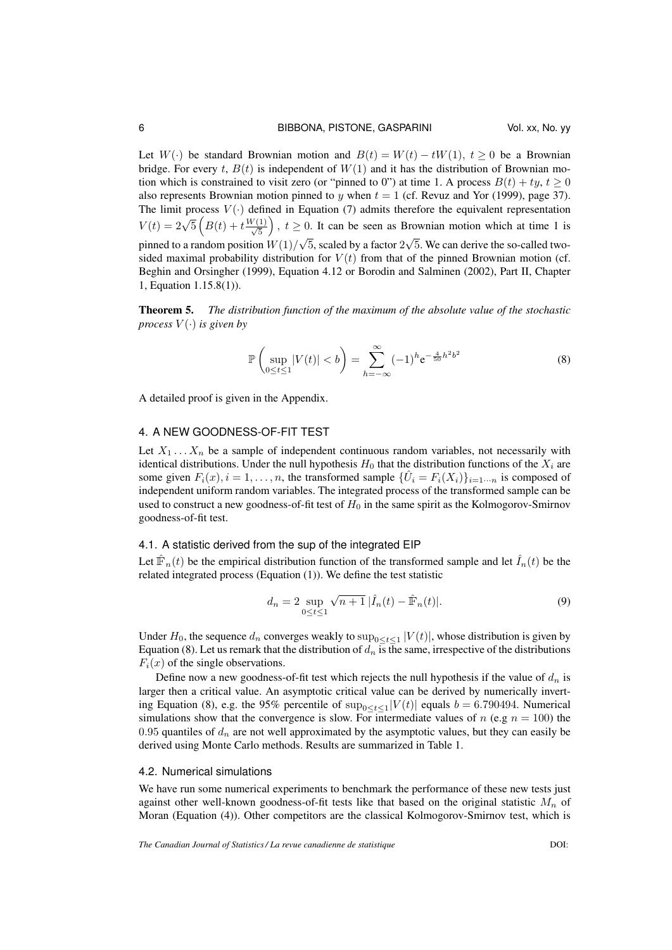Let  $W(.)$  be standard Brownian motion and  $B(t) = W(t) - tW(1), t > 0$  be a Brownian bridge. For every t,  $B(t)$  is independent of  $W(1)$  and it has the distribution of Brownian motion which is constrained to visit zero (or "pinned to 0") at time 1. A process  $B(t) + ty$ ,  $t \ge 0$ also represents Brownian motion pinned to y when  $t = 1$  (cf. Revuz and Yor (1999), page 37). The limit process  $V(\cdot)$  defined in Equation (7) admits therefore the equivalent representation  $V(t) = 2\sqrt{5} \left( B(t) + t \frac{W(1)}{\sqrt{5}} \right), t \ge 0.$  It can be seen as Brownian motion which at time 1 is pinned to a random position  $W(1)/\sqrt{5}$ , scaled by a factor  $2\sqrt{5}$ . We can derive the so-called twosided maximal probability distribution for  $V(t)$  from that of the pinned Brownian motion (cf. Beghin and Orsingher (1999), Equation 4.12 or Borodin and Salminen (2002), Part II, Chapter 1, Equation 1.15.8(1)).

Theorem 5. *The distribution function of the maximum of the absolute value of the stochastic process*  $V(\cdot)$  *is given by* 

$$
\mathbb{P}\left(\sup_{0\leq t\leq 1}|V(t)|< b\right)=\sum_{h=-\infty}^{\infty}(-1)^h e^{-\frac{4}{50}h^2b^2}\tag{8}
$$

A detailed proof is given in the Appendix.

## 4. A NEW GOODNESS-OF-FIT TEST

Let  $X_1 \ldots X_n$  be a sample of independent continuous random variables, not necessarily with identical distributions. Under the null hypothesis  $H_0$  that the distribution functions of the  $X_i$  are some given  $F_i(x)$ ,  $i = 1, \ldots, n$ , the transformed sample  $\{\hat{U}_i = F_i(X_i)\}_{i=1 \cdots n}$  is composed of independent uniform random variables. The integrated process of the transformed sample can be used to construct a new goodness-of-fit test of  $H_0$  in the same spirit as the Kolmogorov-Smirnov goodness-of-fit test.

#### 4.1. A statistic derived from the sup of the integrated EIP

Let  $\hat{F}_n(t)$  be the empirical distribution function of the transformed sample and let  $\hat{I}_n(t)$  be the related integrated process (Equation (1)). We define the test statistic

$$
d_n = 2 \sup_{0 \le t \le 1} \sqrt{n+1} |\hat{I}_n(t) - \hat{\mathbb{F}}_n(t)|.
$$
 (9)

Under  $H_0$ , the sequence  $d_n$  converges weakly to  $\sup_{0 \le t \le 1} |V(t)|$ , whose distribution is given by Equation (8). Let us remark that the distribution of  $d_n$  is the same, irrespective of the distributions  $F_i(x)$  of the single observations.

Define now a new goodness-of-fit test which rejects the null hypothesis if the value of  $d_n$  is larger then a critical value. An asymptotic critical value can be derived by numerically inverting Equation (8), e.g. the 95% percentile of  $\sup_{0 \le t \le 1} |V(t)|$  equals  $b = 6.790494$ . Numerical simulations show that the convergence is slow. For intermediate values of n (e.g  $n = 100$ ) the 0.95 quantiles of  $d_n$  are not well approximated by the asymptotic values, but they can easily be derived using Monte Carlo methods. Results are summarized in Table 1.

#### 4.2. Numerical simulations

We have run some numerical experiments to benchmark the performance of these new tests just against other well-known goodness-of-fit tests like that based on the original statistic  $M_n$  of Moran (Equation (4)). Other competitors are the classical Kolmogorov-Smirnov test, which is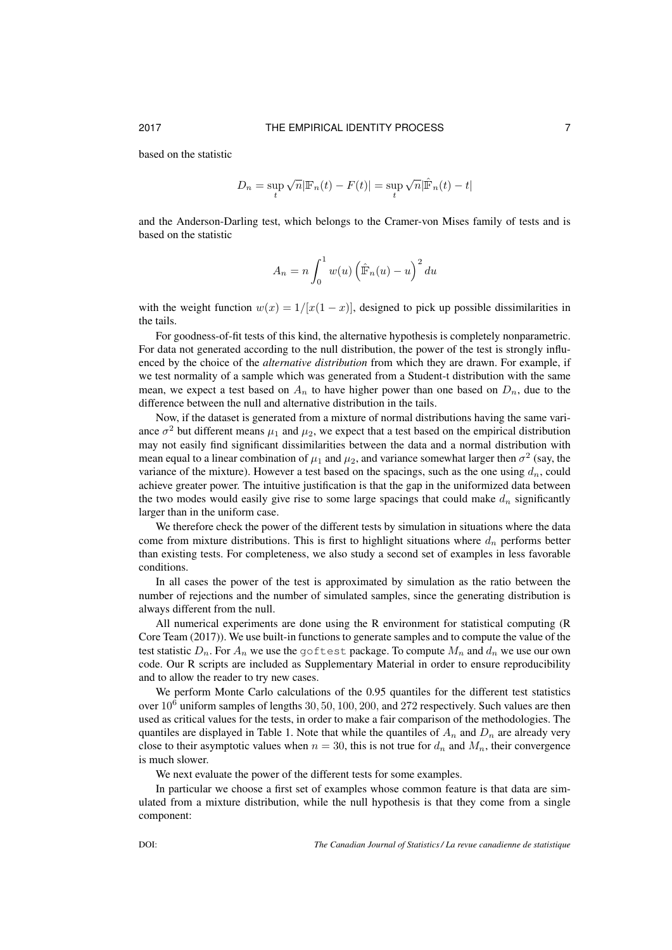based on the statistic

$$
D_n = \sup_t \sqrt{n} |\mathbb{F}_n(t) - F(t)| = \sup_t \sqrt{n} |\hat{\mathbb{F}}_n(t) - t|
$$

and the Anderson-Darling test, which belongs to the Cramer-von Mises family of tests and is based on the statistic

$$
A_n = n \int_0^1 w(u) \left( \hat{\mathbb{F}}_n(u) - u \right)^2 du
$$

with the weight function  $w(x) = 1/[x(1-x)]$ , designed to pick up possible dissimilarities in the tails.

For goodness-of-fit tests of this kind, the alternative hypothesis is completely nonparametric. For data not generated according to the null distribution, the power of the test is strongly influenced by the choice of the *alternative distribution* from which they are drawn. For example, if we test normality of a sample which was generated from a Student-t distribution with the same mean, we expect a test based on  $A_n$  to have higher power than one based on  $D_n$ , due to the difference between the null and alternative distribution in the tails.

Now, if the dataset is generated from a mixture of normal distributions having the same variance  $\sigma^2$  but different means  $\mu_1$  and  $\mu_2$ , we expect that a test based on the empirical distribution may not easily find significant dissimilarities between the data and a normal distribution with mean equal to a linear combination of  $\mu_1$  and  $\mu_2$ , and variance somewhat larger then  $\sigma^2$  (say, the variance of the mixture). However a test based on the spacings, such as the one using  $d_n$ , could achieve greater power. The intuitive justification is that the gap in the uniformized data between the two modes would easily give rise to some large spacings that could make  $d_n$  significantly larger than in the uniform case.

We therefore check the power of the different tests by simulation in situations where the data come from mixture distributions. This is first to highlight situations where  $d_n$  performs better than existing tests. For completeness, we also study a second set of examples in less favorable conditions.

In all cases the power of the test is approximated by simulation as the ratio between the number of rejections and the number of simulated samples, since the generating distribution is always different from the null.

All numerical experiments are done using the R environment for statistical computing (R Core Team (2017)). We use built-in functions to generate samples and to compute the value of the test statistic  $D_n$ . For  $A_n$  we use the goftest package. To compute  $M_n$  and  $d_n$  we use our own code. Our R scripts are included as Supplementary Material in order to ensure reproducibility and to allow the reader to try new cases.

We perform Monte Carlo calculations of the 0.95 quantiles for the different test statistics over  $10^6$  uniform samples of lengths 30, 50, 100, 200, and 272 respectively. Such values are then used as critical values for the tests, in order to make a fair comparison of the methodologies. The quantiles are displayed in Table 1. Note that while the quantiles of  $A_n$  and  $D_n$  are already very close to their asymptotic values when  $n = 30$ , this is not true for  $d_n$  and  $M_n$ , their convergence is much slower.

We next evaluate the power of the different tests for some examples.

In particular we choose a first set of examples whose common feature is that data are simulated from a mixture distribution, while the null hypothesis is that they come from a single component: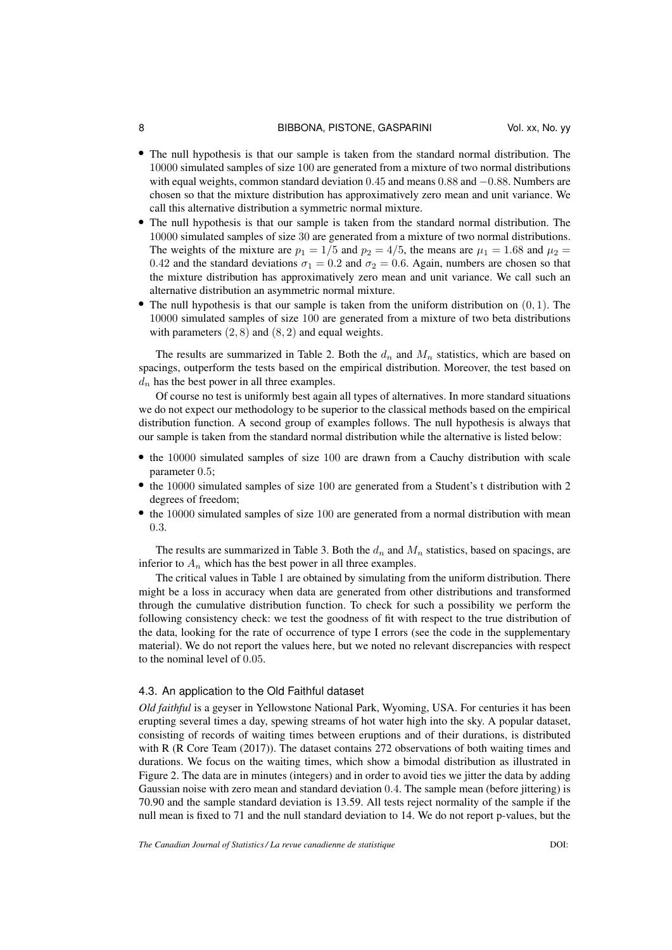#### 8 BIBBONA, PISTONE, GASPARINI Vol. xx, No. yy

- The null hypothesis is that our sample is taken from the standard normal distribution. The 10000 simulated samples of size 100 are generated from a mixture of two normal distributions with equal weights, common standard deviation 0.45 and means 0.88 and −0.88. Numbers are chosen so that the mixture distribution has approximatively zero mean and unit variance. We call this alternative distribution a symmetric normal mixture.
- The null hypothesis is that our sample is taken from the standard normal distribution. The 10000 simulated samples of size 30 are generated from a mixture of two normal distributions. The weights of the mixture are  $p_1 = 1/5$  and  $p_2 = 4/5$ , the means are  $\mu_1 = 1.68$  and  $\mu_2 =$ 0.42 and the standard deviations  $\sigma_1 = 0.2$  and  $\sigma_2 = 0.6$ . Again, numbers are chosen so that the mixture distribution has approximatively zero mean and unit variance. We call such an alternative distribution an asymmetric normal mixture.
- The null hypothesis is that our sample is taken from the uniform distribution on  $(0, 1)$ . The 10000 simulated samples of size 100 are generated from a mixture of two beta distributions with parameters  $(2, 8)$  and  $(8, 2)$  and equal weights.

The results are summarized in Table 2. Both the  $d_n$  and  $M_n$  statistics, which are based on spacings, outperform the tests based on the empirical distribution. Moreover, the test based on  $d_n$  has the best power in all three examples.

Of course no test is uniformly best again all types of alternatives. In more standard situations we do not expect our methodology to be superior to the classical methods based on the empirical distribution function. A second group of examples follows. The null hypothesis is always that our sample is taken from the standard normal distribution while the alternative is listed below:

- the 10000 simulated samples of size 100 are drawn from a Cauchy distribution with scale parameter 0.5;
- the 10000 simulated samples of size 100 are generated from a Student's t distribution with 2 degrees of freedom;
- the 10000 simulated samples of size 100 are generated from a normal distribution with mean 0.3.

The results are summarized in Table 3. Both the  $d_n$  and  $M_n$  statistics, based on spacings, are inferior to  $A_n$  which has the best power in all three examples.

The critical values in Table 1 are obtained by simulating from the uniform distribution. There might be a loss in accuracy when data are generated from other distributions and transformed through the cumulative distribution function. To check for such a possibility we perform the following consistency check: we test the goodness of fit with respect to the true distribution of the data, looking for the rate of occurrence of type I errors (see the code in the supplementary material). We do not report the values here, but we noted no relevant discrepancies with respect to the nominal level of 0.05.

#### 4.3. An application to the Old Faithful dataset

*Old faithful* is a geyser in Yellowstone National Park, Wyoming, USA. For centuries it has been erupting several times a day, spewing streams of hot water high into the sky. A popular dataset, consisting of records of waiting times between eruptions and of their durations, is distributed with R (R Core Team (2017)). The dataset contains 272 observations of both waiting times and durations. We focus on the waiting times, which show a bimodal distribution as illustrated in Figure 2. The data are in minutes (integers) and in order to avoid ties we jitter the data by adding Gaussian noise with zero mean and standard deviation 0.4. The sample mean (before jittering) is 70.90 and the sample standard deviation is 13.59. All tests reject normality of the sample if the null mean is fixed to 71 and the null standard deviation to 14. We do not report p-values, but the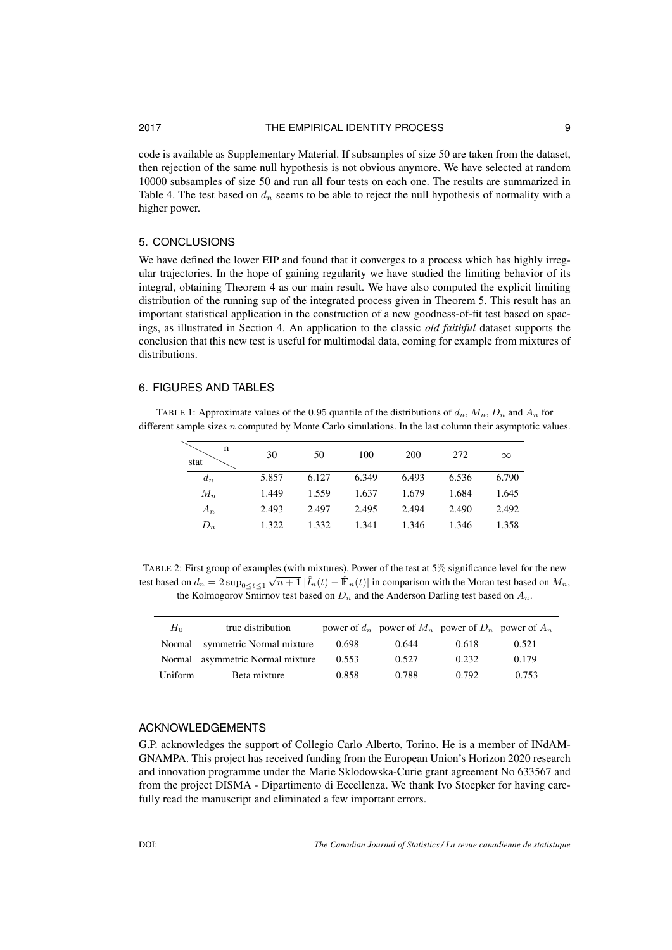## 2017 THE EMPIRICAL IDENTITY PROCESS 9

code is available as Supplementary Material. If subsamples of size 50 are taken from the dataset, then rejection of the same null hypothesis is not obvious anymore. We have selected at random 10000 subsamples of size 50 and run all four tests on each one. The results are summarized in Table 4. The test based on  $d_n$  seems to be able to reject the null hypothesis of normality with a higher power.

# 5. CONCLUSIONS

We have defined the lower EIP and found that it converges to a process which has highly irregular trajectories. In the hope of gaining regularity we have studied the limiting behavior of its integral, obtaining Theorem 4 as our main result. We have also computed the explicit limiting distribution of the running sup of the integrated process given in Theorem 5. This result has an important statistical application in the construction of a new goodness-of-fit test based on spacings, as illustrated in Section 4. An application to the classic *old faithful* dataset supports the conclusion that this new test is useful for multimodal data, coming for example from mixtures of distributions.

## 6. FIGURES AND TABLES

TABLE 1: Approximate values of the 0.95 quantile of the distributions of  $d_n$ ,  $M_n$ ,  $D_n$  and  $A_n$  for different sample sizes n computed by Monte Carlo simulations. In the last column their asymptotic values.

| n<br>stat | 30    | 50    | 100   | 200   | 272   | $\infty$ |
|-----------|-------|-------|-------|-------|-------|----------|
| $d_n$     | 5.857 | 6.127 | 6.349 | 6.493 | 6.536 | 6.790    |
| $M_n$     | 1.449 | 1.559 | 1.637 | 1.679 | 1.684 | 1.645    |
| $A_n$     | 2.493 | 2.497 | 2.495 | 2.494 | 2.490 | 2.492    |
| $D_n$     | 1.322 | 1.332 | 1.341 | 1.346 | 1.346 | 1.358    |

TABLE 2: First group of examples (with mixtures). Power of the test at 5% significance level for the new test based on  $d_n = 2 \sup_{0 \le t \le 1} \sqrt{n+1} |\hat{I}_n(t) - \hat{F}_n(t)|$  in comparison with the Moran test based on  $M_n$ , the Kolmogorov Smirnov test based on  $D_n$  and the Anderson Darling test based on  $A_n$ .

| $H_0$   | true distribution         |       | power of $d_n$ power of $M_n$ power of $D_n$ power of $A_n$ |       |       |
|---------|---------------------------|-------|-------------------------------------------------------------|-------|-------|
| Normal  | symmetric Normal mixture  | 0.698 | 0.644                                                       | 0.618 | 0.521 |
| Normal  | asymmetric Normal mixture | 0.553 | 0.527                                                       | 0.232 | 0.179 |
| Uniform | Beta mixture              | 0.858 | 0.788                                                       | 0.792 | 0.753 |

# ACKNOWLEDGEMENTS

G.P. acknowledges the support of Collegio Carlo Alberto, Torino. He is a member of INdAM-GNAMPA. This project has received funding from the European Union's Horizon 2020 research and innovation programme under the Marie Sklodowska-Curie grant agreement No 633567 and from the project DISMA - Dipartimento di Eccellenza. We thank Ivo Stoepker for having carefully read the manuscript and eliminated a few important errors.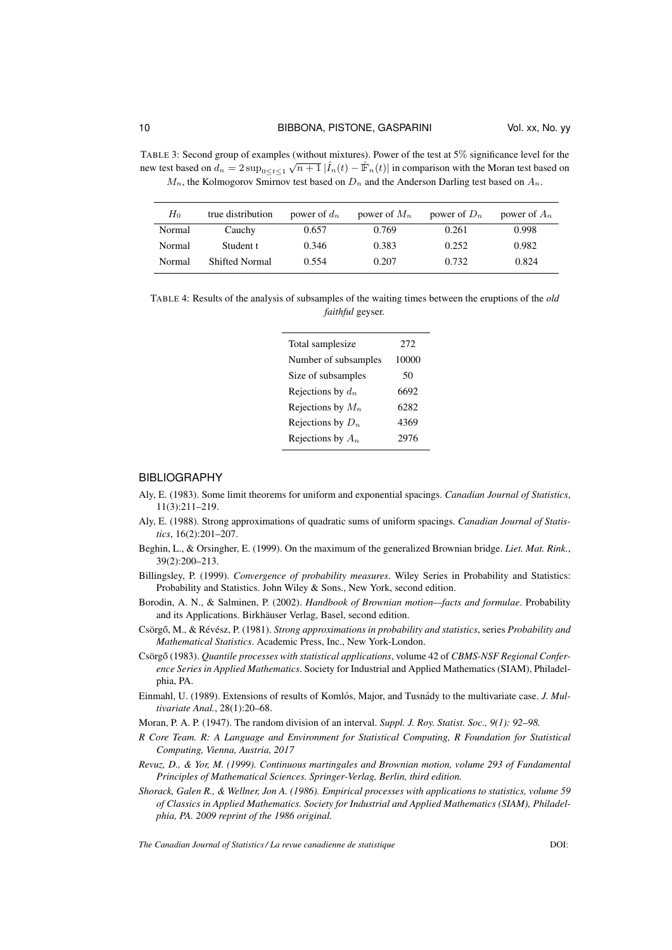TABLE 3: Second group of examples (without mixtures). Power of the test at 5% significance level for the new test based on  $d_n = 2 \sup_{0 \le t \le 1} \sqrt{n+1} |\hat{I}_n(t) - \hat{F}_n(t)|$  in comparison with the Moran test based on  $M_n$ , the Kolmogorov Smirnov test based on  $D_n$  and the Anderson Darling test based on  $A_n$ .

| $H_0$  | true distribution     | power of $d_n$ | power of $M_n$ | power of $D_n$ | power of $A_n$ |
|--------|-----------------------|----------------|----------------|----------------|----------------|
| Normal | Cauchy                | 0.657          | 0.769          | 0.261          | 0.998          |
| Normal | Student t             | 0.346          | 0.383          | 0.252          | 0.982          |
| Normal | <b>Shifted Normal</b> | 0.554          | 0.207          | 0.732          | 0.824          |

TABLE 4: Results of the analysis of subsamples of the waiting times between the eruptions of the *old faithful* geyser.

| 272   |
|-------|
| 10000 |
| 50    |
| 6692  |
| 6282  |
| 4369  |
| 2976  |
|       |

#### **BIBLIOGRAPHY**

- Aly, E. (1983). Some limit theorems for uniform and exponential spacings. *Canadian Journal of Statistics*, 11(3):211–219.
- Aly, E. (1988). Strong approximations of quadratic sums of uniform spacings. *Canadian Journal of Statistics*, 16(2):201–207.
- Beghin, L., & Orsingher, E. (1999). On the maximum of the generalized Brownian bridge. *Liet. Mat. Rink.*, 39(2):200–213.
- Billingsley, P. (1999). *Convergence of probability measures*. Wiley Series in Probability and Statistics: Probability and Statistics. John Wiley & Sons., New York, second edition.
- Borodin, A. N., & Salminen, P. (2002). *Handbook of Brownian motion—facts and formulae*. Probability and its Applications. Birkhäuser Verlag, Basel, second edition.
- Csörgő, M., & Révész, P. (1981). *Strong approximations in probability and statistics*, series *Probability and Mathematical Statistics*. Academic Press, Inc., New York-London.
- Csörgő (1983). *Quantile processes with statistical applications*, volume 42 of *CBMS-NSF Regional Conference Series in Applied Mathematics*. Society for Industrial and Applied Mathematics (SIAM), Philadelphia, PA.
- Einmahl, U. (1989). Extensions of results of Komlós, Major, and Tusnády to the multivariate case. *J. Multivariate Anal.*, 28(1):20–68.
- Moran, P. A. P. (1947). The random division of an interval. *Suppl. J. Roy. Statist. Soc., 9(1): 92–98.*
- *R Core Team. R: A Language and Environment for Statistical Computing, R Foundation for Statistical Computing, Vienna, Austria, 2017*
- *Revuz, D., & Yor, M. (1999). Continuous martingales and Brownian motion, volume 293 of Fundamental Principles of Mathematical Sciences. Springer-Verlag, Berlin, third edition.*
- *Shorack, Galen R., & Wellner, Jon A. (1986). Empirical processes with applications to statistics, volume 59 of Classics in Applied Mathematics. Society for Industrial and Applied Mathematics (SIAM), Philadelphia, PA. 2009 reprint of the 1986 original.*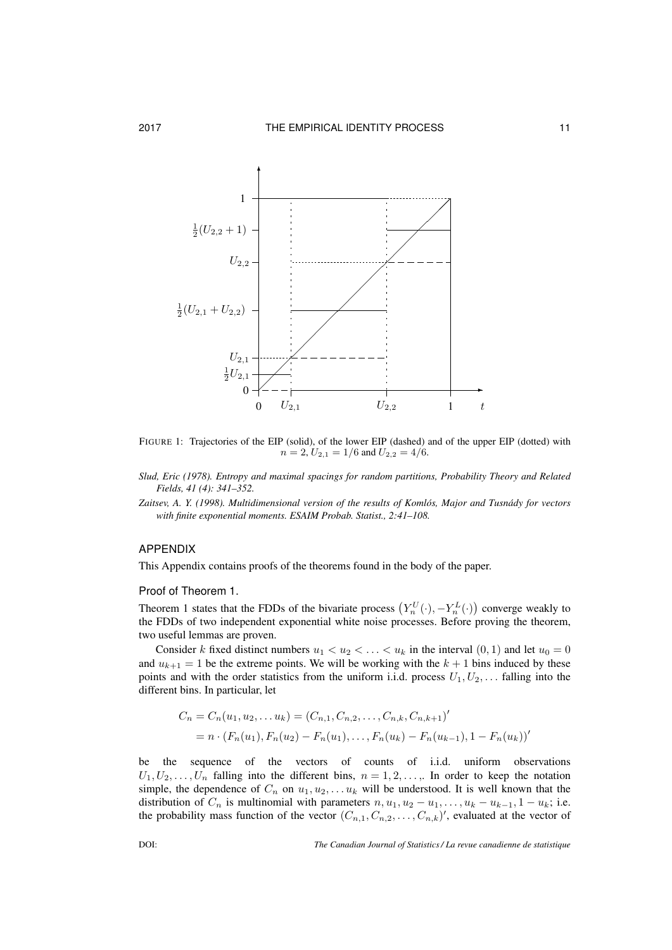

FIGURE 1: Trajectories of the EIP (solid), of the lower EIP (dashed) and of the upper EIP (dotted) with  $n = 2, U_{2,1} = 1/6$  and  $U_{2,2} = 4/6$ .

*Slud, Eric (1978). Entropy and maximal spacings for random partitions, Probability Theory and Related Fields, 41 (4): 341–352.*

*Zaitsev, A. Y. (1998). Multidimensional version of the results of Komlos, Major and Tusn ´ ady for vectors ´ with finite exponential moments. ESAIM Probab. Statist., 2:41–108.*

# APPENDIX

This Appendix contains proofs of the theorems found in the body of the paper.

#### Proof of Theorem 1.

Theorem 1 states that the FDDs of the bivariate process  $(Y_n^U(\cdot), -Y_n^L(\cdot))$  converge weakly to the FDDs of two independent exponential white noise processes. Before proving the theorem, two useful lemmas are proven.

Consider k fixed distinct numbers  $u_1 < u_2 < \ldots < u_k$  in the interval  $(0, 1)$  and let  $u_0 = 0$ and  $u_{k+1} = 1$  be the extreme points. We will be working with the  $k + 1$  bins induced by these points and with the order statistics from the uniform i.i.d. process  $U_1, U_2, \ldots$  falling into the different bins. In particular, let

$$
C_n = C_n(u_1, u_2, \dots u_k) = (C_{n,1}, C_{n,2}, \dots, C_{n,k}, C_{n,k+1})'
$$
  
=  $n \cdot (F_n(u_1), F_n(u_2) - F_n(u_1), \dots, F_n(u_k) - F_n(u_{k-1}), 1 - F_n(u_k))'$ 

be the sequence of the vectors of counts of i.i.d. uniform observations  $U_1, U_2, \ldots, U_n$  falling into the different bins,  $n = 1, 2, \ldots$ . In order to keep the notation simple, the dependence of  $C_n$  on  $u_1, u_2, \ldots u_k$  will be understood. It is well known that the distribution of  $C_n$  is multinomial with parameters  $n, u_1, u_2 - u_1, \ldots, u_k - u_{k-1}, 1 - u_k$ ; i.e. the probability mass function of the vector  $(C_{n,1}, C_{n,2}, \ldots, C_{n,k})'$ , evaluated at the vector of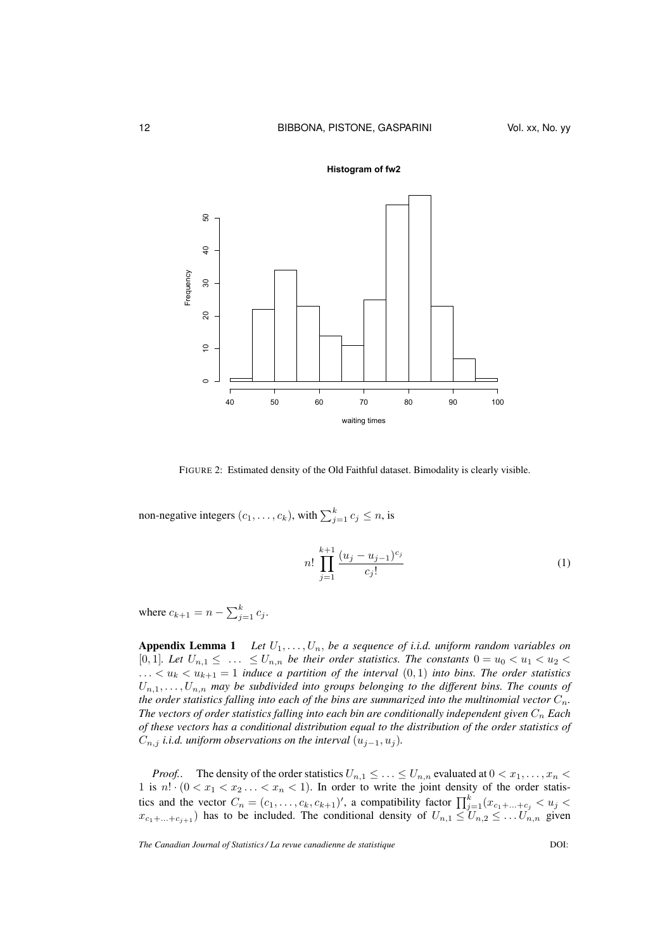

FIGURE 2: Estimated density of the Old Faithful dataset. Bimodality is clearly visible.

non-negative integers  $(c_1, \ldots, c_k)$ , with  $\sum_{j=1}^k c_j \leq n$ , is

$$
n! \prod_{j=1}^{k+1} \frac{(u_j - u_{j-1})^{c_j}}{c_j!}
$$
 (1)

where  $c_{k+1} = n - \sum_{j=1}^{k} c_j$ .

**Appendix Lemma 1** Let  $U_1, \ldots, U_n$ , be a sequence of i.i.d. uniform random variables on [0, 1]*. Let*  $U_{n,1} \leq \ldots \leq U_{n,n}$  *be their order statistics. The constants*  $0 = u_0 < u_1 < u_2 <$  $\ldots < u_k < u_{k+1} = 1$  *induce a partition of the interval*  $(0,1)$  *into bins. The order statistics*  $U_{n,1},\ldots,U_{n,n}$  may be subdivided into groups belonging to the different bins. The counts of *the order statistics falling into each of the bins are summarized into the multinomial vector*  $C_n$ . *The vectors of order statistics falling into each bin are conditionally independent given*  $C_n$  *Each of these vectors has a conditional distribution equal to the distribution of the order statistics of*  $C_{n,j}$  *i.i.d. uniform observations on the interval*  $(u_{j-1}, u_j)$ *.* 

*Proof..* The density of the order statistics  $U_{n,1} \leq \ldots \leq U_{n,n}$  evaluated at  $0 < x_1, \ldots, x_n <$ 1 is  $n! \cdot (0 < x_1 < x_2 \ldots < x_n < 1)$ . In order to write the joint density of the order statistics and the vector  $C_n = (c_1, \ldots, c_k, c_{k+1})'$ , a compatibility factor  $\prod_{j=1}^k (x_{c_1 + \ldots + c_j} < u_j <$  $x_{c_1+\ldots+c_{j+1}}$  has to be included. The conditional density of  $U_{n,1} \leq U_{n,2} \leq \ldots U_{n,n}$  given

*The Canadian Journal of Statistics / La revue canadienne de statistique* DOI:

#### **Histogram of fw2**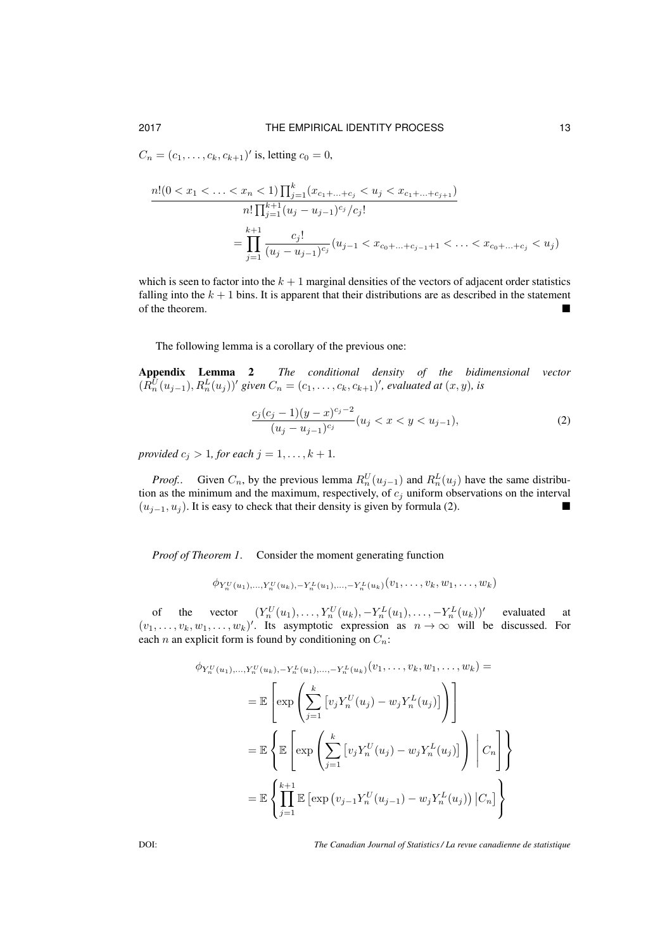$C_n = (c_1, \ldots, c_k, c_{k+1})'$  is, letting  $c_0 = 0$ ,

$$
\frac{n!(0 < x_1 < \ldots < x_n < 1) \prod_{j=1}^k (x_{c_1 + \ldots + c_j} < u_j < x_{c_1 + \ldots + c_{j+1}})}{n! \prod_{j=1}^{k+1} (u_j - u_{j-1})^{c_j} / c_j!}
$$
\n
$$
= \prod_{j=1}^{k+1} \frac{c_j!}{(u_j - u_{j-1})^{c_j}} (u_{j-1} < x_{c_0 + \ldots + c_{j-1}+1} < \ldots < x_{c_0 + \ldots + c_j} < u_j)
$$

which is seen to factor into the  $k + 1$  marginal densities of the vectors of adjacent order statistics falling into the  $k + 1$  bins. It is apparent that their distributions are as described in the statement of the theorem.

The following lemma is a corollary of the previous one:

Appendix Lemma 2 *The conditional density of the bidimensional vector*  $(R_n^U(u_{j-1}), R_n^L(u_j))'$  given  $C_n = (c_1, \ldots, c_k, c_{k+1})'$ , evaluated at  $(x, y)$ , is

$$
\frac{c_j(c_j-1)(y-x)^{c_j-2}}{(u_j-u_{j-1})^{c_j}}(u_j < x < y < u_{j-1}),
$$
\n(2)

*provided*  $c_j > 1$ *, for each*  $j = 1, ..., k + 1$ *.* 

*Proof..* Given  $C_n$ , by the previous lemma  $R_n^U(u_{j-1})$  and  $R_n^L(u_j)$  have the same distribution as the minimum and the maximum, respectively, of  $c_i$  uniform observations on the interval  $(u_{i-1}, u_i)$ . It is easy to check that their density is given by formula (2).

*Proof of Theorem 1*. Consider the moment generating function

$$
\phi_{Y_n^U(u_1),...,Y_n^U(u_k),-Y_n^L(u_1),...,-Y_n^L(u_k)}(v_1,...,v_k,w_1,...,w_k)
$$

of the vector  $(Y_n^U(u_1), \ldots, Y_n^U(u_k), -Y_n^L(u_1), \ldots, -Y_n^L(u_k))'$  evaluated at  $(v_1, \ldots, v_k, w_1, \ldots, w_k)'$ . Its asymptotic expression as  $n \to \infty$  will be discussed. For each n an explicit form is found by conditioning on  $C_n$ :

$$
\phi_{Y_n^U(u_1),...,Y_n^U(u_k),-Y_n^L(u_1),...,-Y_n^L(u_k)}(v_1,...,v_k,w_1,...,w_k) =
$$
\n
$$
= \mathbb{E}\left[\exp\left(\sum_{j=1}^k \left[v_j Y_n^U(u_j) - w_j Y_n^L(u_j)\right]\right)\right]
$$
\n
$$
= \mathbb{E}\left\{\mathbb{E}\left[\exp\left(\sum_{j=1}^k \left[v_j Y_n^U(u_j) - w_j Y_n^L(u_j)\right]\right)\right| C_n\right\}\right\}
$$
\n
$$
= \mathbb{E}\left\{\prod_{j=1}^{k+1} \mathbb{E}\left[\exp\left(v_{j-1} Y_n^U(u_{j-1}) - w_j Y_n^L(u_j)\right)| C_n\right]\right\}
$$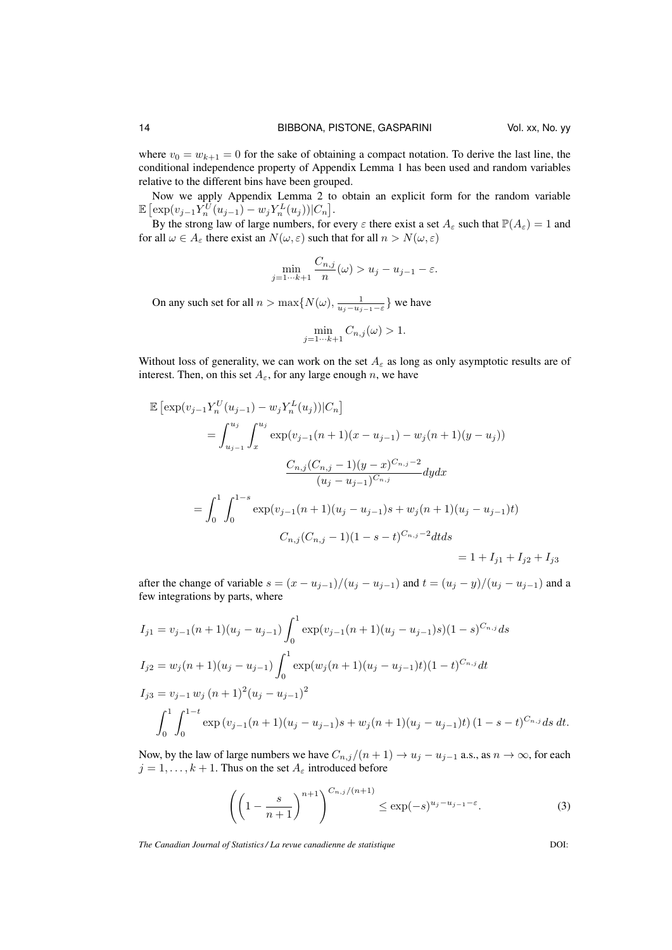where  $v_0 = w_{k+1} = 0$  for the sake of obtaining a compact notation. To derive the last line, the conditional independence property of Appendix Lemma 1 has been used and random variables relative to the different bins have been grouped.

Now we apply Appendix Lemma 2 to obtain an explicit form for the random variable  $\mathbb{E} \left[ \exp(v_{j-1} Y_n^{\bar{U}}(u_{j-1}) - w_j Y_n^L(u_j)) | C_n \right].$ 

By the strong law of large numbers, for every  $\varepsilon$  there exist a set  $A_{\varepsilon}$  such that  $\mathbb{P}(A_{\varepsilon})=1$  and for all  $\omega \in A_{\varepsilon}$  there exist an  $N(\omega, \varepsilon)$  such that for all  $n > N(\omega, \varepsilon)$ 

$$
\min_{j=1\cdots k+1} \frac{C_{n,j}}{n}(\omega) > u_j - u_{j-1} - \varepsilon.
$$

On any such set for all  $n > \max\{N(\omega), \frac{1}{u_j - u_{j-1} - \varepsilon}\}$  we have

L

$$
\min_{j=1\cdots k+1} C_{n,j}(\omega) > 1.
$$

Without loss of generality, we can work on the set  $A_{\varepsilon}$  as long as only asymptotic results are of interest. Then, on this set  $A_\varepsilon$ , for any large enough n, we have

$$
\mathbb{E} \left[ \exp(v_{j-1} Y_n^U(u_{j-1}) - w_j Y_n^L(u_j)) | C_n \right]
$$
  
\n
$$
= \int_{u_{j-1}}^{u_j} \int_x^{u_j} \exp(v_{j-1}(n+1)(x - u_{j-1}) - w_j(n+1)(y - u_j))
$$
  
\n
$$
\frac{C_{n,j}(C_{n,j} - 1)(y - x)^{C_{n,j} - 2}}{(u_j - u_{j-1})^{C_{n,j}}} dy dx
$$
  
\n
$$
= \int_0^1 \int_0^{1-s} \exp(v_{j-1}(n+1)(u_j - u_{j-1})s + w_j(n+1)(u_j - u_{j-1})t)
$$
  
\n
$$
C_{n,j}(C_{n,j} - 1)(1 - s - t)^{C_{n,j} - 2} dt ds
$$
  
\n
$$
= 1 + I_{j1} + I_{j2} + I_{j3}
$$

after the change of variable  $s = (x - u_{j-1})/(u_j - u_{j-1})$  and  $t = (u_j - y)/(u_j - u_{j-1})$  and a few integrations by parts, where

$$
I_{j1} = v_{j-1}(n+1)(u_j - u_{j-1}) \int_0^1 \exp(v_{j-1}(n+1)(u_j - u_{j-1})s)(1-s)^{C_{n,j}} ds
$$
  
\n
$$
I_{j2} = w_j(n+1)(u_j - u_{j-1}) \int_0^1 \exp(w_j(n+1)(u_j - u_{j-1})t)(1-t)^{C_{n,j}} dt
$$
  
\n
$$
I_{j3} = v_{j-1} w_j (n+1)^2 (u_j - u_{j-1})^2
$$
  
\n
$$
\int_0^1 \int_0^{1-t} \exp(v_{j-1}(n+1)(u_j - u_{j-1})s + w_j(n+1)(u_j - u_{j-1})t)(1-s-t)^{C_{n,j}} ds dt.
$$

Now, by the law of large numbers we have  $C_{n,j}/(n+1) \rightarrow u_j - u_{j-1}$  a.s., as  $n \rightarrow \infty$ , for each  $j = 1, \ldots, k + 1$ . Thus on the set  $A_{\varepsilon}$  introduced before

$$
\left(\left(1-\frac{s}{n+1}\right)^{n+1}\right)^{C_{n,j}/(n+1)} \le \exp(-s)^{u_j-u_{j-1}-\varepsilon}.\tag{3}
$$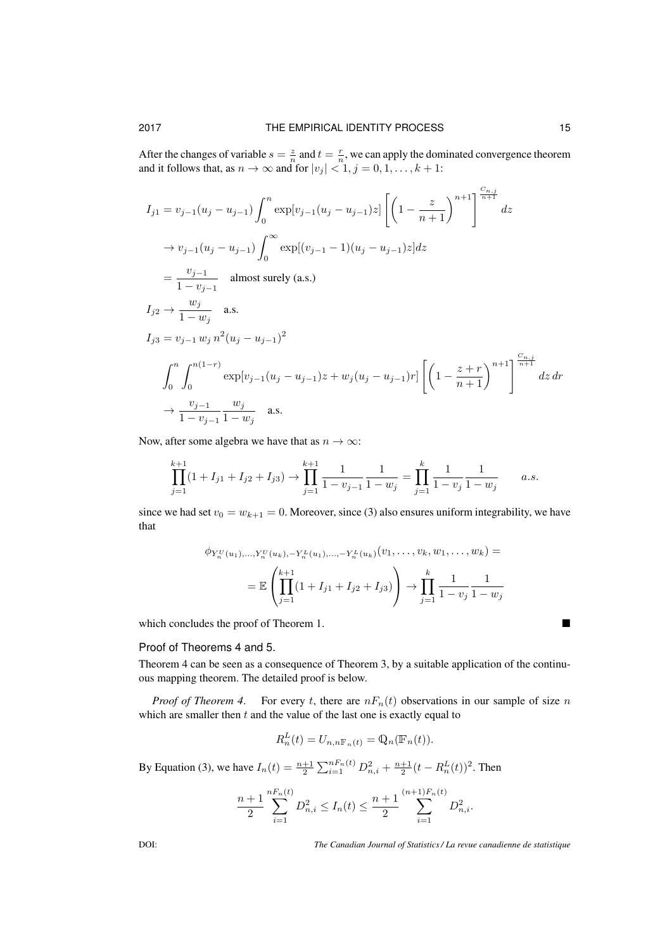After the changes of variable  $s = \frac{z}{n}$  and  $t = \frac{r}{n}$ , we can apply the dominated convergence theorem and it follows that, as  $n \to \infty$  and for  $|v_j| < 1, j = 0, 1, \ldots, k + 1$ :

$$
I_{j1} = v_{j-1}(u_j - u_{j-1}) \int_0^n \exp[v_{j-1}(u_j - u_{j-1})z] \left[ \left(1 - \frac{z}{n+1}\right)^{n+1} \right]^{\frac{C_{n,j}}{n+1}} dz
$$
  
\n
$$
\rightarrow v_{j-1}(u_j - u_{j-1}) \int_0^\infty \exp[(v_{j-1} - 1)(u_j - u_{j-1})z] dz
$$
  
\n
$$
= \frac{v_{j-1}}{1 - v_{j-1}} \text{ almost surely (a.s.)}
$$
  
\n
$$
I_{j2} \rightarrow \frac{w_j}{1 - w_j} \text{ a.s.}
$$
  
\n
$$
I_{j3} = v_{j-1} w_j n^2 (u_j - u_{j-1})^2
$$
  
\n
$$
\int_0^n \int_0^{n(1-r)} \exp[v_{j-1}(u_j - u_{j-1})z + w_j(u_j - u_{j-1})r] \left[ \left(1 - \frac{z+r}{n+1}\right)^{n+1} \right]^{\frac{C_{n,j}}{n+1}} dz dr
$$
  
\n
$$
\rightarrow \frac{v_{j-1}}{1 - v_{j-1}} \frac{w_j}{1 - w_j} \text{ a.s.}
$$

Now, after some algebra we have that as  $n \to \infty$ :

$$
\prod_{j=1}^{k+1} (1 + I_{j1} + I_{j2} + I_{j3}) \to \prod_{j=1}^{k+1} \frac{1}{1 - v_{j-1}} \frac{1}{1 - w_j} = \prod_{j=1}^{k} \frac{1}{1 - v_j} \frac{1}{1 - w_j}
$$
 a.s.

since we had set  $v_0 = w_{k+1} = 0$ . Moreover, since (3) also ensures uniform integrability, we have that

$$
\phi_{Y_n^U(u_1),...,Y_n^U(u_k),-Y_n^L(u_1),...,Y_n^L(u_k)}(v_1,...,v_k,w_1,...,w_k) =
$$
  
=  $\mathbb{E}\left(\prod_{j=1}^{k+1} (1+I_{j1}+I_{j2}+I_{j3})\right) \to \prod_{j=1}^k \frac{1}{1-v_j} \frac{1}{1-w_j}$ 

which concludes the proof of Theorem 1.

# Proof of Theorems 4 and 5.

Theorem 4 can be seen as a consequence of Theorem 3, by a suitable application of the continuous mapping theorem. The detailed proof is below.

*Proof of Theorem 4.* For every t, there are  $nF_n(t)$  observations in our sample of size n which are smaller then  $t$  and the value of the last one is exactly equal to

$$
R_n^L(t) = U_{n,n\mathbb{F}_n(t)} = \mathbb{Q}_n(\mathbb{F}_n(t)).
$$

By Equation (3), we have  $I_n(t) = \frac{n+1}{2} \sum_{i=1}^{n} E_n(t) D_{n,i}^2 + \frac{n+1}{2} (t - R_n^L(t))^2$ . Then

$$
\frac{n+1}{2} \sum_{i=1}^{nF_n(t)} D_{n,i}^2 \le I_n(t) \le \frac{n+1}{2} \sum_{i=1}^{(n+1)F_n(t)} D_{n,i}^2.
$$